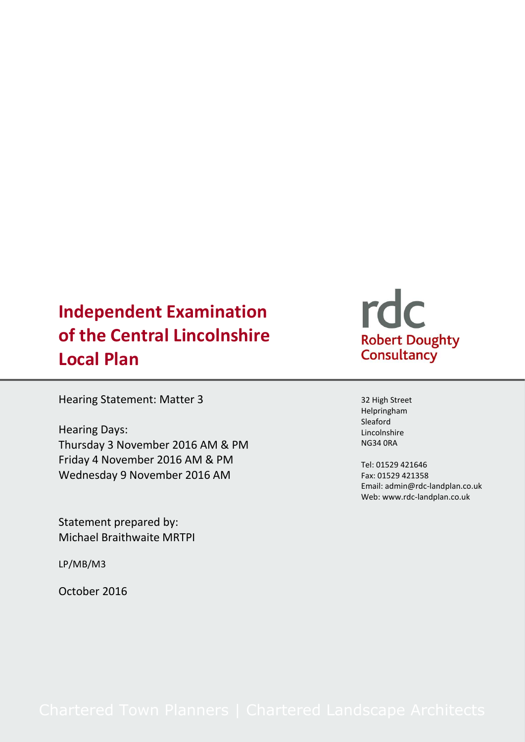# **Independent Examination of the Central Lincolnshire Local Plan**

Hearing Statement: Matter 3

Hearing Days: Thursday 3 November 2016 AM & PM Friday 4 November 2016 AM & PM Wednesday 9 November 2016 AM

Statement prepared by: Michael Braithwaite MRTPI

LP/MB/M3

October 2016

# rdc Robert Doughty<br>Consultancy

32 High Street Helpringham Sleaford Lincolnshire NG34 0RA

Tel: 01529 421646 Fax: 01529 421358 Email: admin@rdc-landplan.co.uk Web: www.rdc-landplan.co.uk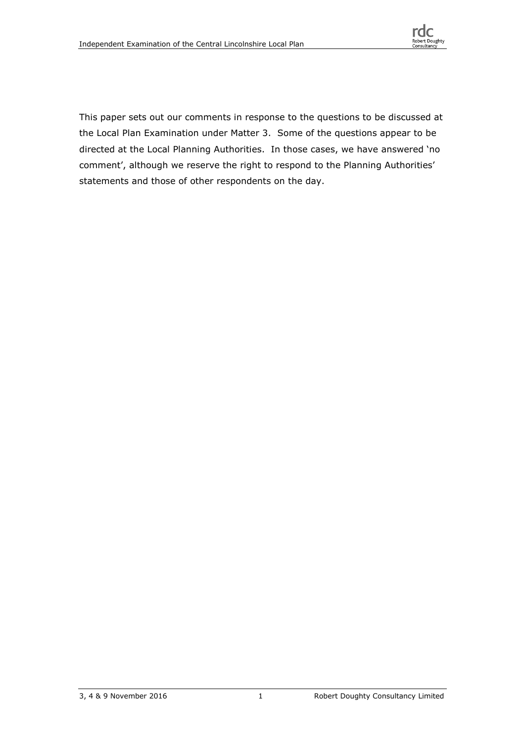

This paper sets out our comments in response to the questions to be discussed at the Local Plan Examination under Matter 3. Some of the questions appear to be directed at the Local Planning Authorities. In those cases, we have answered 'no comment', although we reserve the right to respond to the Planning Authorities' statements and those of other respondents on the day.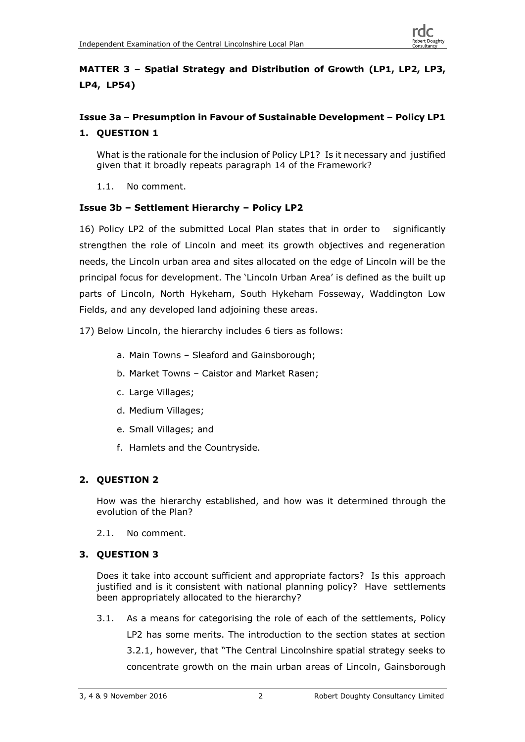# **MATTER 3 – Spatial Strategy and Distribution of Growth (LP1, LP2, LP3, LP4, LP54)**

# **Issue 3a – Presumption in Favour of Sustainable Development – Policy LP1 1. QUESTION 1**

What is the rationale for the inclusion of Policy LP1? Is it necessary and justified given that it broadly repeats paragraph 14 of the Framework?

1.1. No comment.

# **Issue 3b – Settlement Hierarchy – Policy LP2**

16) Policy LP2 of the submitted Local Plan states that in order to significantly strengthen the role of Lincoln and meet its growth objectives and regeneration needs, the Lincoln urban area and sites allocated on the edge of Lincoln will be the principal focus for development. The 'Lincoln Urban Area' is defined as the built up parts of Lincoln, North Hykeham, South Hykeham Fosseway, Waddington Low Fields, and any developed land adjoining these areas.

17) Below Lincoln, the hierarchy includes 6 tiers as follows:

- a. Main Towns Sleaford and Gainsborough;
- b. Market Towns Caistor and Market Rasen;
- c. Large Villages;
- d. Medium Villages;
- e. Small Villages; and
- f. Hamlets and the Countryside.

# **2. QUESTION 2**

How was the hierarchy established, and how was it determined through the evolution of the Plan?

2.1. No comment.

# **3. QUESTION 3**

Does it take into account sufficient and appropriate factors? Is this approach justified and is it consistent with national planning policy? Have settlements been appropriately allocated to the hierarchy?

3.1. As a means for categorising the role of each of the settlements, Policy LP2 has some merits. The introduction to the section states at section 3.2.1, however, that "The Central Lincolnshire spatial strategy seeks to concentrate growth on the main urban areas of Lincoln, Gainsborough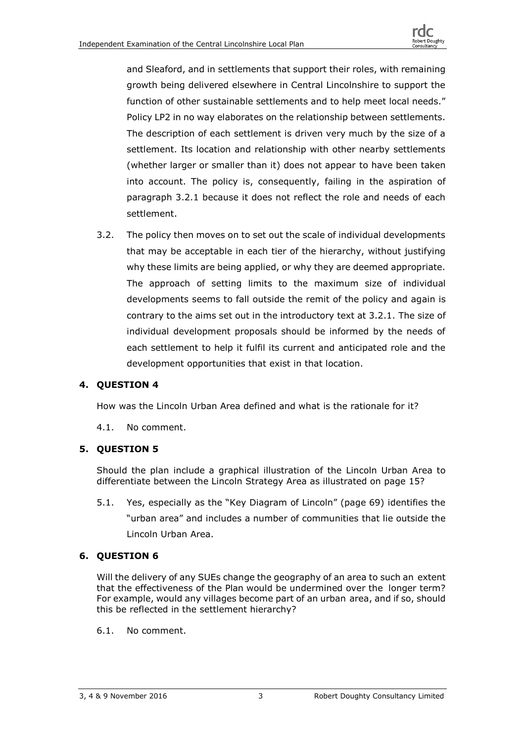and Sleaford, and in settlements that support their roles, with remaining growth being delivered elsewhere in Central Lincolnshire to support the function of other sustainable settlements and to help meet local needs." Policy LP2 in no way elaborates on the relationship between settlements. The description of each settlement is driven very much by the size of a settlement. Its location and relationship with other nearby settlements (whether larger or smaller than it) does not appear to have been taken into account. The policy is, consequently, failing in the aspiration of paragraph 3.2.1 because it does not reflect the role and needs of each settlement.

3.2. The policy then moves on to set out the scale of individual developments that may be acceptable in each tier of the hierarchy, without justifying why these limits are being applied, or why they are deemed appropriate. The approach of setting limits to the maximum size of individual developments seems to fall outside the remit of the policy and again is contrary to the aims set out in the introductory text at 3.2.1. The size of individual development proposals should be informed by the needs of each settlement to help it fulfil its current and anticipated role and the development opportunities that exist in that location.

# **4. QUESTION 4**

How was the Lincoln Urban Area defined and what is the rationale for it?

4.1. No comment.

#### **5. QUESTION 5**

Should the plan include a graphical illustration of the Lincoln Urban Area to differentiate between the Lincoln Strategy Area as illustrated on page 15?

5.1. Yes, especially as the "Key Diagram of Lincoln" (page 69) identifies the "urban area" and includes a number of communities that lie outside the Lincoln Urban Area.

#### **6. QUESTION 6**

Will the delivery of any SUEs change the geography of an area to such an extent that the effectiveness of the Plan would be undermined over the longer term? For example, would any villages become part of an urban area, and if so, should this be reflected in the settlement hierarchy?

6.1. No comment.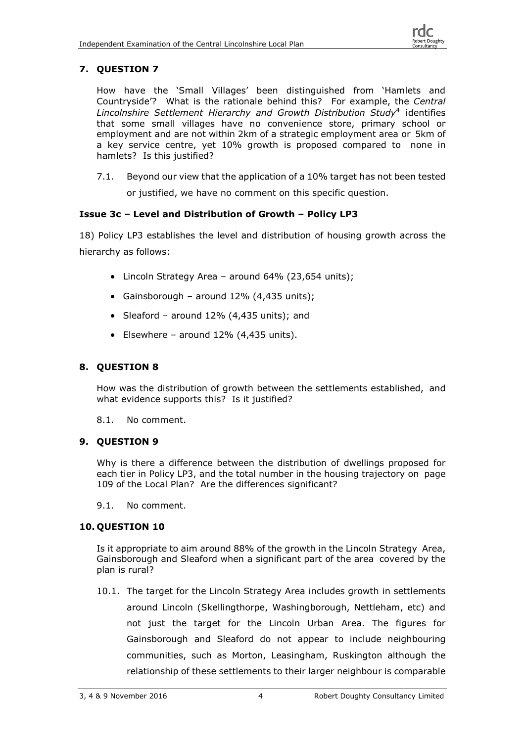# **7. QUESTION 7**

How have the 'Small Villages' been distinguished from 'Hamlets and Countryside'? What is the rationale behind this? For example, the *Central Lincolnshire Settlement Hierarchy and Growth Distribution Study*<sup>4</sup> identifies that some small villages have no convenience store, primary school or employment and are not within 2km of a strategic employment area or 5km of a key service centre, yet 10% growth is proposed compared to none in hamlets? Is this justified?

7.1. Beyond our view that the application of a 10% target has not been tested

or justified, we have no comment on this specific question.

#### **Issue 3c – Level and Distribution of Growth – Policy LP3**

18) Policy LP3 establishes the level and distribution of housing growth across the hierarchy as follows:

- Lincoln Strategy Area around 64% (23,654 units);
- Gainsborough around  $12\%$  (4,435 units);
- Sleaford around 12% (4,435 units); and
- Elsewhere around  $12\%$  (4,435 units).

#### **8. QUESTION 8**

How was the distribution of growth between the settlements established, and what evidence supports this? Is it justified?

8.1. No comment.

#### **9. QUESTION 9**

Why is there a difference between the distribution of dwellings proposed for each tier in Policy LP3, and the total number in the housing trajectory on page 109 of the Local Plan? Are the differences significant?

9.1. No comment.

#### **10. QUESTION 10**

Is it appropriate to aim around 88% of the growth in the Lincoln Strategy Area, Gainsborough and Sleaford when a significant part of the area covered by the plan is rural?

10.1. The target for the Lincoln Strategy Area includes growth in settlements around Lincoln (Skellingthorpe, Washingborough, Nettleham, etc) and not just the target for the Lincoln Urban Area. The figures for Gainsborough and Sleaford do not appear to include neighbouring communities, such as Morton, Leasingham, Ruskington although the relationship of these settlements to their larger neighbour is comparable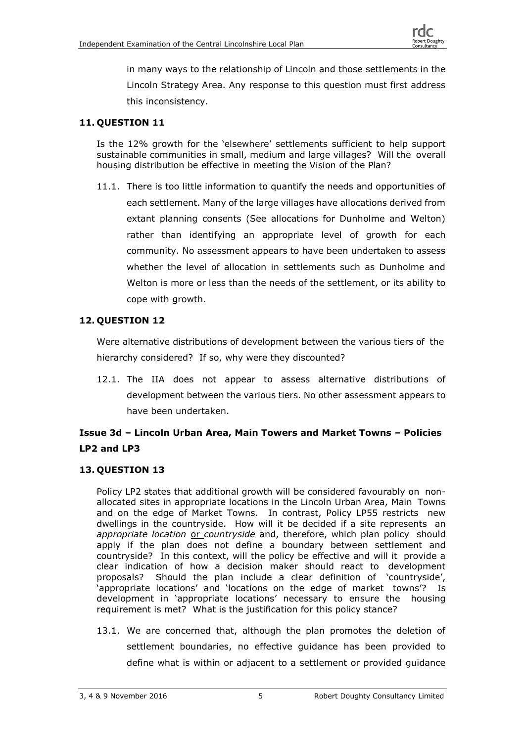in many ways to the relationship of Lincoln and those settlements in the Lincoln Strategy Area. Any response to this question must first address this inconsistency.

# **11. QUESTION 11**

Is the 12% growth for the 'elsewhere' settlements sufficient to help support sustainable communities in small, medium and large villages? Will the overall housing distribution be effective in meeting the Vision of the Plan?

11.1. There is too little information to quantify the needs and opportunities of each settlement. Many of the large villages have allocations derived from extant planning consents (See allocations for Dunholme and Welton) rather than identifying an appropriate level of growth for each community. No assessment appears to have been undertaken to assess whether the level of allocation in settlements such as Dunholme and Welton is more or less than the needs of the settlement, or its ability to cope with growth.

# **12. QUESTION 12**

Were alternative distributions of development between the various tiers of the hierarchy considered? If so, why were they discounted?

12.1. The IIA does not appear to assess alternative distributions of development between the various tiers. No other assessment appears to have been undertaken.

# **Issue 3d – Lincoln Urban Area, Main Towers and Market Towns – Policies LP2 and LP3**

# **13. QUESTION 13**

Policy LP2 states that additional growth will be considered favourably on nonallocated sites in appropriate locations in the Lincoln Urban Area, Main Towns and on the edge of Market Towns. In contrast, Policy LP55 restricts new dwellings in the countryside. How will it be decided if a site represents an *appropriate location* or *countryside* and, therefore, which plan policy should apply if the plan does not define a boundary between settlement and countryside? In this context, will the policy be effective and will it provide a clear indication of how a decision maker should react to development proposals? Should the plan include a clear definition of 'countryside', 'appropriate locations' and 'locations on the edge of market towns'? Is development in 'appropriate locations' necessary to ensure the housing requirement is met? What is the justification for this policy stance?

13.1. We are concerned that, although the plan promotes the deletion of settlement boundaries, no effective guidance has been provided to define what is within or adjacent to a settlement or provided guidance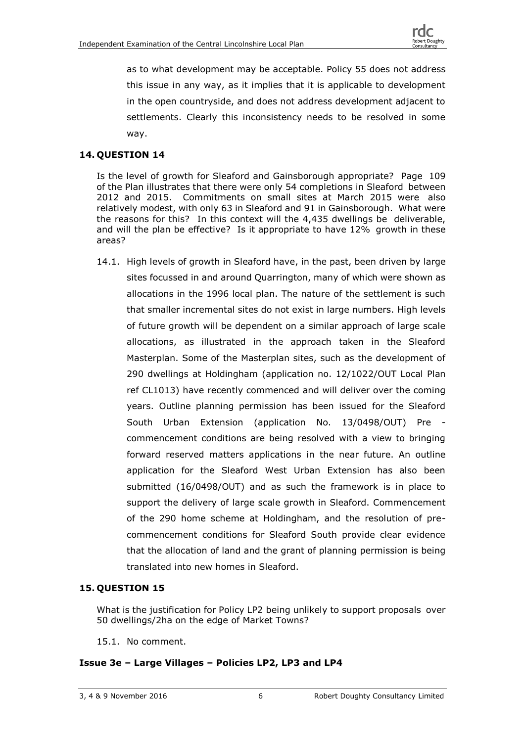

as to what development may be acceptable. Policy 55 does not address this issue in any way, as it implies that it is applicable to development in the open countryside, and does not address development adjacent to settlements. Clearly this inconsistency needs to be resolved in some way.

#### **14. QUESTION 14**

Is the level of growth for Sleaford and Gainsborough appropriate? Page 109 of the Plan illustrates that there were only 54 completions in Sleaford between 2012 and 2015. Commitments on small sites at March 2015 were also relatively modest, with only 63 in Sleaford and 91 in Gainsborough. What were the reasons for this? In this context will the 4,435 dwellings be deliverable, and will the plan be effective? Is it appropriate to have 12% growth in these areas?

14.1. High levels of growth in Sleaford have, in the past, been driven by large sites focussed in and around Quarrington, many of which were shown as allocations in the 1996 local plan. The nature of the settlement is such that smaller incremental sites do not exist in large numbers. High levels of future growth will be dependent on a similar approach of large scale allocations, as illustrated in the approach taken in the Sleaford Masterplan. Some of the Masterplan sites, such as the development of 290 dwellings at Holdingham (application no. 12/1022/OUT Local Plan ref CL1013) have recently commenced and will deliver over the coming years. Outline planning permission has been issued for the Sleaford South Urban Extension (application No. 13/0498/OUT) Pre commencement conditions are being resolved with a view to bringing forward reserved matters applications in the near future. An outline application for the Sleaford West Urban Extension has also been submitted (16/0498/OUT) and as such the framework is in place to support the delivery of large scale growth in Sleaford. Commencement of the 290 home scheme at Holdingham, and the resolution of precommencement conditions for Sleaford South provide clear evidence that the allocation of land and the grant of planning permission is being translated into new homes in Sleaford.

#### **15. QUESTION 15**

What is the justification for Policy LP2 being unlikely to support proposals over 50 dwellings/2ha on the edge of Market Towns?

15.1. No comment.

#### **Issue 3e – Large Villages – Policies LP2, LP3 and LP4**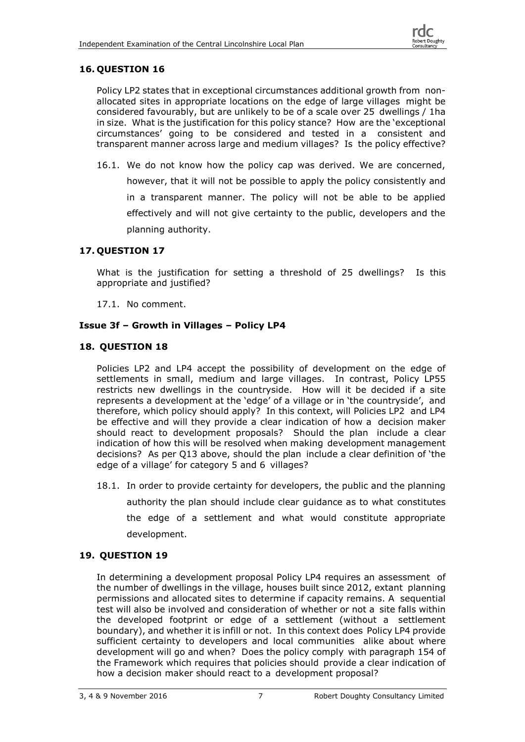#### **16. QUESTION 16**

Policy LP2 states that in exceptional circumstances additional growth from nonallocated sites in appropriate locations on the edge of large villages might be considered favourably, but are unlikely to be of a scale over 25 dwellings / 1ha in size. What is the justification for this policy stance? How are the 'exceptional circumstances' going to be considered and tested in a consistent and transparent manner across large and medium villages? Is the policy effective?

16.1. We do not know how the policy cap was derived. We are concerned, however, that it will not be possible to apply the policy consistently and in a transparent manner. The policy will not be able to be applied effectively and will not give certainty to the public, developers and the planning authority.

#### **17. QUESTION 17**

What is the justification for setting a threshold of 25 dwellings? Is this appropriate and justified?

17.1. No comment.

#### **Issue 3f – Growth in Villages – Policy LP4**

#### **18. QUESTION 18**

Policies LP2 and LP4 accept the possibility of development on the edge of settlements in small, medium and large villages. In contrast, Policy LP55 restricts new dwellings in the countryside. How will it be decided if a site represents a development at the 'edge' of a village or in 'the countryside', and therefore, which policy should apply? In this context, will Policies LP2 and LP4 be effective and will they provide a clear indication of how a decision maker should react to development proposals? Should the plan include a clear indication of how this will be resolved when making development management decisions? As per Q13 above, should the plan include a clear definition of 'the edge of a village' for category 5 and 6 villages?

18.1. In order to provide certainty for developers, the public and the planning authority the plan should include clear guidance as to what constitutes the edge of a settlement and what would constitute appropriate development.

#### **19. QUESTION 19**

In determining a development proposal Policy LP4 requires an assessment of the number of dwellings in the village, houses built since 2012, extant planning permissions and allocated sites to determine if capacity remains. A sequential test will also be involved and consideration of whether or not a site falls within the developed footprint or edge of a settlement (without a settlement boundary), and whether it is infill or not. In this context does Policy LP4 provide sufficient certainty to developers and local communities alike about where development will go and when? Does the policy comply with paragraph 154 of the Framework which requires that policies should provide a clear indication of how a decision maker should react to a development proposal?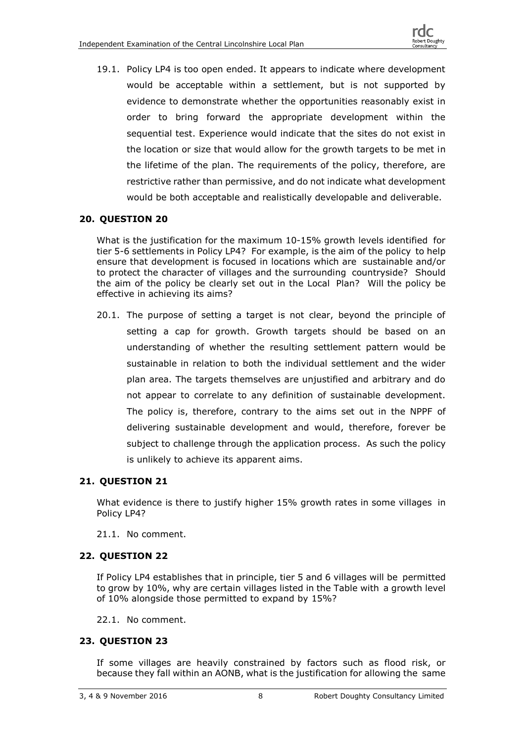19.1. Policy LP4 is too open ended. It appears to indicate where development would be acceptable within a settlement, but is not supported by evidence to demonstrate whether the opportunities reasonably exist in order to bring forward the appropriate development within the sequential test. Experience would indicate that the sites do not exist in the location or size that would allow for the growth targets to be met in the lifetime of the plan. The requirements of the policy, therefore, are restrictive rather than permissive, and do not indicate what development would be both acceptable and realistically developable and deliverable.

# **20. QUESTION 20**

What is the justification for the maximum 10-15% growth levels identified for tier 5-6 settlements in Policy LP4? For example, is the aim of the policy to help ensure that development is focused in locations which are sustainable and/or to protect the character of villages and the surrounding countryside? Should the aim of the policy be clearly set out in the Local Plan? Will the policy be effective in achieving its aims?

20.1. The purpose of setting a target is not clear, beyond the principle of setting a cap for growth. Growth targets should be based on an understanding of whether the resulting settlement pattern would be sustainable in relation to both the individual settlement and the wider plan area. The targets themselves are unjustified and arbitrary and do not appear to correlate to any definition of sustainable development. The policy is, therefore, contrary to the aims set out in the NPPF of delivering sustainable development and would, therefore, forever be subject to challenge through the application process. As such the policy is unlikely to achieve its apparent aims.

#### **21. QUESTION 21**

What evidence is there to justify higher 15% growth rates in some villages in Policy LP4?

21.1. No comment.

# **22. QUESTION 22**

If Policy LP4 establishes that in principle, tier 5 and 6 villages will be permitted to grow by 10%, why are certain villages listed in the Table with a growth level of 10% alongside those permitted to expand by 15%?

22.1. No comment.

#### **23. QUESTION 23**

If some villages are heavily constrained by factors such as flood risk, or because they fall within an AONB, what is the justification for allowing the same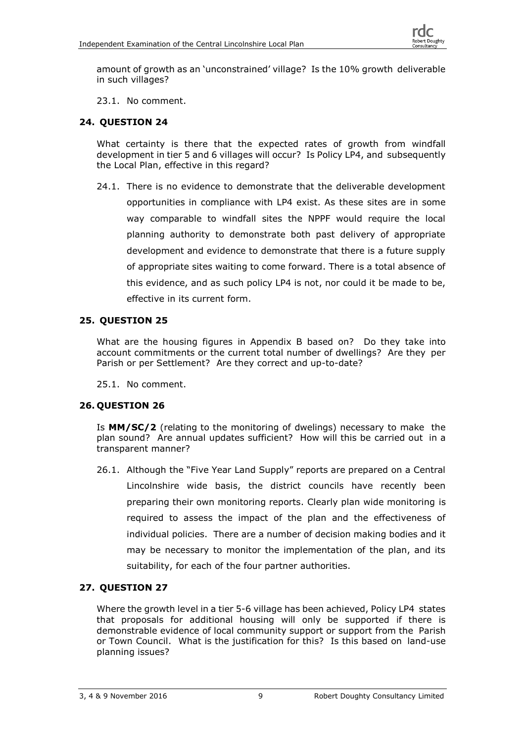amount of growth as an 'unconstrained' village? Is the 10% growth deliverable in such villages?

23.1. No comment.

# **24. QUESTION 24**

What certainty is there that the expected rates of growth from windfall development in tier 5 and 6 villages will occur? Is Policy LP4, and subsequently the Local Plan, effective in this regard?

24.1. There is no evidence to demonstrate that the deliverable development opportunities in compliance with LP4 exist. As these sites are in some way comparable to windfall sites the NPPF would require the local planning authority to demonstrate both past delivery of appropriate development and evidence to demonstrate that there is a future supply of appropriate sites waiting to come forward. There is a total absence of this evidence, and as such policy LP4 is not, nor could it be made to be, effective in its current form.

#### **25. QUESTION 25**

What are the housing figures in Appendix B based on? Do they take into account commitments or the current total number of dwellings? Are they per Parish or per Settlement? Are they correct and up-to-date?

25.1. No comment.

#### **26. QUESTION 26**

Is **MM/SC/2** (relating to the monitoring of dwelings) necessary to make the plan sound? Are annual updates sufficient? How will this be carried out in a transparent manner?

26.1. Although the "Five Year Land Supply" reports are prepared on a Central Lincolnshire wide basis, the district councils have recently been preparing their own monitoring reports. Clearly plan wide monitoring is required to assess the impact of the plan and the effectiveness of individual policies. There are a number of decision making bodies and it may be necessary to monitor the implementation of the plan, and its suitability, for each of the four partner authorities.

# **27. QUESTION 27**

Where the growth level in a tier 5-6 village has been achieved, Policy LP4 states that proposals for additional housing will only be supported if there is demonstrable evidence of local community support or support from the Parish or Town Council. What is the justification for this? Is this based on land-use planning issues?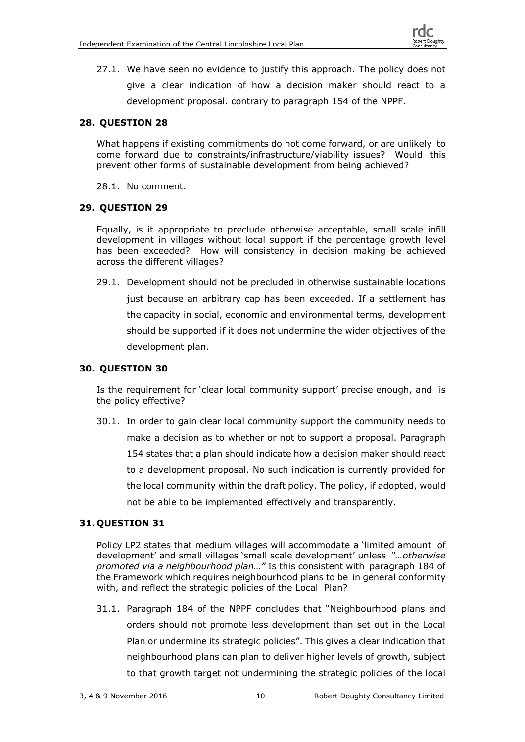

27.1. We have seen no evidence to justify this approach. The policy does not give a clear indication of how a decision maker should react to a development proposal. contrary to paragraph 154 of the NPPF.

#### **28. QUESTION 28**

What happens if existing commitments do not come forward, or are unlikely to come forward due to constraints/infrastructure/viability issues? Would this prevent other forms of sustainable development from being achieved?

28.1. No comment.

#### **29. QUESTION 29**

Equally, is it appropriate to preclude otherwise acceptable, small scale infill development in villages without local support if the percentage growth level has been exceeded? How will consistency in decision making be achieved across the different villages?

29.1. Development should not be precluded in otherwise sustainable locations just because an arbitrary cap has been exceeded. If a settlement has the capacity in social, economic and environmental terms, development

should be supported if it does not undermine the wider objectives of the development plan.

#### **30. QUESTION 30**

Is the requirement for 'clear local community support' precise enough, and is the policy effective?

30.1. In order to gain clear local community support the community needs to make a decision as to whether or not to support a proposal. Paragraph 154 states that a plan should indicate how a decision maker should react to a development proposal. No such indication is currently provided for the local community within the draft policy. The policy, if adopted, would not be able to be implemented effectively and transparently.

#### **31. QUESTION 31**

Policy LP2 states that medium villages will accommodate a 'limited amount of development' and small villages 'small scale development' unless *"…otherwise promoted via a neighbourhood plan…"* Is this consistent with paragraph 184 of the Framework which requires neighbourhood plans to be in general conformity with, and reflect the strategic policies of the Local Plan?

31.1. Paragraph 184 of the NPPF concludes that "Neighbourhood plans and orders should not promote less development than set out in the Local Plan or undermine its strategic policies". This gives a clear indication that neighbourhood plans can plan to deliver higher levels of growth, subject to that growth target not undermining the strategic policies of the local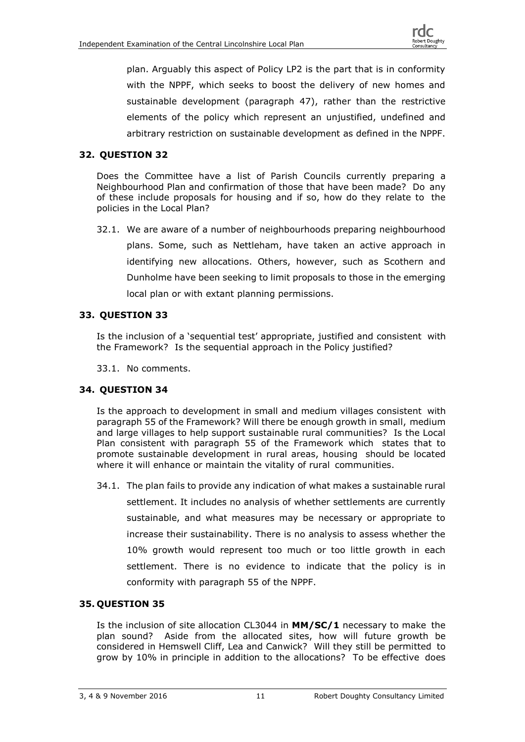

plan. Arguably this aspect of Policy LP2 is the part that is in conformity with the NPPF, which seeks to boost the delivery of new homes and sustainable development (paragraph 47), rather than the restrictive elements of the policy which represent an unjustified, undefined and arbitrary restriction on sustainable development as defined in the NPPF.

#### **32. QUESTION 32**

Does the Committee have a list of Parish Councils currently preparing a Neighbourhood Plan and confirmation of those that have been made? Do any of these include proposals for housing and if so, how do they relate to the policies in the Local Plan?

32.1. We are aware of a number of neighbourhoods preparing neighbourhood plans. Some, such as Nettleham, have taken an active approach in identifying new allocations. Others, however, such as Scothern and Dunholme have been seeking to limit proposals to those in the emerging local plan or with extant planning permissions.

#### **33. QUESTION 33**

Is the inclusion of a 'sequential test' appropriate, justified and consistent with the Framework? Is the sequential approach in the Policy justified?

33.1. No comments.

#### **34. QUESTION 34**

Is the approach to development in small and medium villages consistent with paragraph 55 of the Framework? Will there be enough growth in small, medium and large villages to help support sustainable rural communities? Is the Local Plan consistent with paragraph 55 of the Framework which states that to promote sustainable development in rural areas, housing should be located where it will enhance or maintain the vitality of rural communities.

34.1. The plan fails to provide any indication of what makes a sustainable rural settlement. It includes no analysis of whether settlements are currently sustainable, and what measures may be necessary or appropriate to increase their sustainability. There is no analysis to assess whether the 10% growth would represent too much or too little growth in each settlement. There is no evidence to indicate that the policy is in conformity with paragraph 55 of the NPPF.

#### **35. QUESTION 35**

Is the inclusion of site allocation CL3044 in **MM/SC/1** necessary to make the plan sound? Aside from the allocated sites, how will future growth be considered in Hemswell Cliff, Lea and Canwick? Will they still be permitted to grow by 10% in principle in addition to the allocations? To be effective does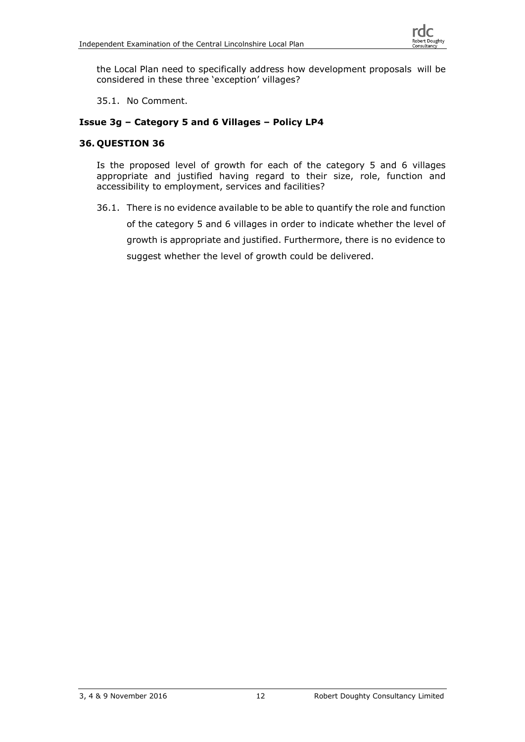

the Local Plan need to specifically address how development proposals will be considered in these three 'exception' villages?

35.1. No Comment.

#### **Issue 3g – Category 5 and 6 Villages – Policy LP4**

#### **36. QUESTION 36**

Is the proposed level of growth for each of the category 5 and 6 villages appropriate and justified having regard to their size, role, function and accessibility to employment, services and facilities?

36.1. There is no evidence available to be able to quantify the role and function

of the category 5 and 6 villages in order to indicate whether the level of growth is appropriate and justified. Furthermore, there is no evidence to

suggest whether the level of growth could be delivered.